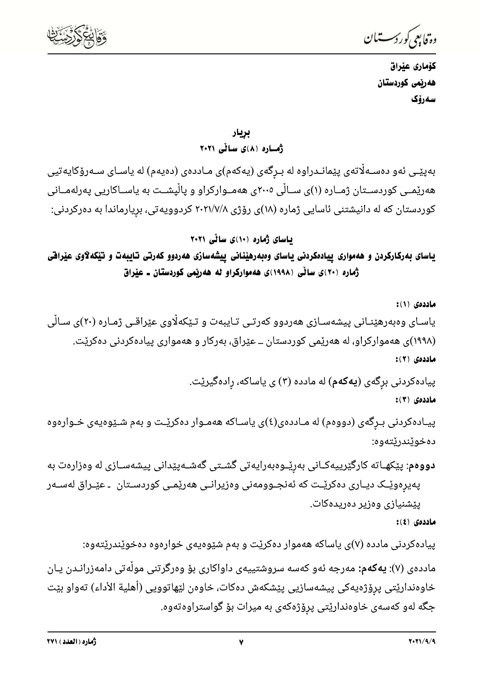

وة فابعي كوردستيان

كۆمارى عێراق هەريمى كوردستان سەرۆك

بريار

ڈھسارہ (۸)ی سائی ۲۰۲۱

بەپێـی ئەو دەسـﻪڵاتەی پێمانـﺪراوە لە بـﺮگەی (يەكەم)ی مـﺎددەی (دەيەم) لە ياسـﺎی سـﻪرۆكايەتيى هەرێمــی کوردســتان ژمــاره (۱)ی ســاڵی ۲۰۰۵ی هەمــوارکراو و پاڵیشــت به یاســاکاریی پەرلەمــانی کوردستان که له دانیشتنی ئاسایی ژماره (۱۸)ی رۆژی ۲۰۲۱/۷/۸ کردوویه<code>تی</code>، بریارماندا به دهرکردنی:

باسای ژماره (١٠)ی سالّی ٢٠٢١

یاسای بهرکارکردن و ههمواری ییادمکردنی یاسای وهبهرهینانی ییشهسازی ههردوو کهرتی تایبهت و تیکهلاوی عیراقی ژماره (۲۰)ی ساٽی (۱۹۹۸)ی ههموارکراو له ههريمی کوردستان ـ عيراق

ماددهى (١): یاسـای وەبەرھێنـانی پیشەسـازی ھەردوو کەرتـی تـایبەت و تـێکەلّاوی عێراقـی ژمـارە (۲۰)ی سـالّی (۱۹۹۸)ی ههموارکراو، له ههریمی کوردستان ــ عیّراق، بهرکار و ههمواری پیادهکردنی دهکریّت. ماددەى (٢):

> پیادهکردنی برگهی (**یهکهم**) له مادده (۳) ی یاساکه، رادهگیریّت. ماددەى (٣):

پیـادهکردنی بـرگهی (دووهم) له مـاددهی(٤)ی یاسـاکه ههمـوار دهکریـْـت و بهم شـیْوهیهی خـوارهوه دەخوٽندرٽتەوە:

<mark>دووهم</mark>: پێکهـاته کارگێرییهکـانی بهرێـوهبەرایەتی گشــتی گەشــەپێدانی پیشەســازی له وەزارەت بە پەيرەوێـک ديـارى دەکرێـت کە ئەنجــوومەنى وەزيرانــى ھەرێمــى کوردسـتان ـ عێـراق لەســەر ییشنیازی وەزیر دەریدەكات.

ماددەى (٤):

پیادهکردنی مادده (۷)ی یاساکه ههموار دهکریْت و بهم شیوهیهی خوارهوه دهخویْندریْتهوه:

ماددەی (۷): **پەكەم:** مەرجە ئەو كەسە سروشتييەی داواكاری بۆ وەرگرتنی مولەتی دامەزرانـدن يـان خاوەندارێتی پرۆژەپەكی پیشەسازیی پێشکەش دەکات، خاوەن لێھاتووپی (أھلیة الأداء) تەواو بێت جگه لهو کهسهی خاوهنداری٘تی پرۆژهکهی به میرات بۆ گواستراوهتهوه.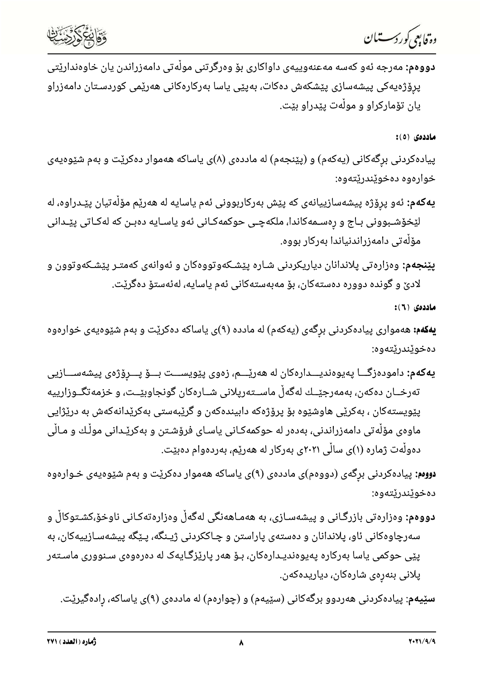دە قابىي كوردسىتىان



**دووهم:** مەرجە ئەو كەسە مەعنەوييەى داواكارى بۆ وەرگرتنى مولْەتى دامەزراندن يان خاوەندارێتى پرۆژەيەكى پيشەسازى پێشكەش دەكات، بەپێى ياسا بەركارەكانى ھەرێمى كوردسـتان دامەزراو يان تۆماركراو و موڵەت يێدراو بێت.

ماددەى (٥):

پیادهکردنی برگهکانی (یهکهم) و (پێنجهم) له ماددهی (۸)ی یاساکه ههموار دهکرێت و بهم شێوهیهی خوارەوە دەخوێندرێتەوە:

- **يەكەم:** ئەو پرۆژە پيشەسازييانەى كە پێش بەركاربوونى ئەم ياسايە لە ھەرێم مۆڵەتيان پێـدراوە، لە لێخۆشـبوونی بـاج و رِەسـمەکاندا، ملکەچـی حوکمەکـانی ئەو یاسـایە دەبـن کە لەکـاتی پێـدانی مۆلەتى دامەزراندنياندا بەركار بووە.
- **پێنجهم:** وەزارەتی پلاندانان دیاریکردنی شـارە پێشـکەوتووەکان و ئەوانەی کەمتـر پێشـکەوتوون و لادیٚ و گونده دووره دەستەکان، بۆ مەبەستەکانی ئەم ياسايە، لەئەستۆ دەگرێت.

ماددەى ( ٦ ):

**یهکهم:** ههمواری پیادهکردنی برگهی (یهکهم) له مادده (۹)ی یاساکه دهکریّت و بهم شیّوهیهی خوارهوه دەخوێندرێتەوە:

**يەكەم:** دامودەزگـــا پەيوەنديـــدارەكان لە ھەرێــــم، زەوى پێويســـت بـــۆ پـــرٍۆژەى پيشەســـازيى تەرخــان دەكەن، بەمەرجێــك لەگەڵ ماســتەريلانى شــارەكان گونجاوبێــت، و خزمەتگــوزارييە پێویستهکان ، بهکرێی هاوشێوه بۆ پرۆژەکه دابیندەکەن و گرێبەستی بەکرێدانەکەش بە درێژایی ماوەی مۆلّەتی دامەزراندنی، بەدەر لە حوکمەکـانی یاسـای فرۆشـتن و بەکرێـدانی موڵـك و مـاڵی دەولّەت ژمارە (۱)ى سالّى ۲۰۲۱ى بەركار لە ھەرێم، بەردەوام دەبێت.

**دووم:** پیادهکردنی برگهی (دووهم)ی ماددهی (۹)ی یاساکه ههموار دهکریّت و بهم شیّوهیهی خـوارهوه دەخوێندرێتەوە:

**دووهم:** وەزارەتى بازرگـانى و پيشەسـازى، بە ھەمـاھەنگى لەگەڵ وەزارەتەكـانى ناوخۆ،كشـتوكاڵ و سەرچاوەكانى ئاو، پلاندانان و دەستەى پاراستن و چـاككردنى ژيـنگە، پـێگە پيشەسـازييەكان، بە پێی حوکمی یاسا بەرکارە پەیوەندیـدارەکان، بـۆ ھەر پارێزگـایەک لە دەرەوەی سـنووری ماسـتەر پلانی بنەرەی شارەكان، دياريدەكەن.

س**ێیهم**: پیادهکردنی ههردوو برگهکانی (سێیهم) و (چوارهم) له ماددهی (۹)ی یاساکه، رِادهگیرێت.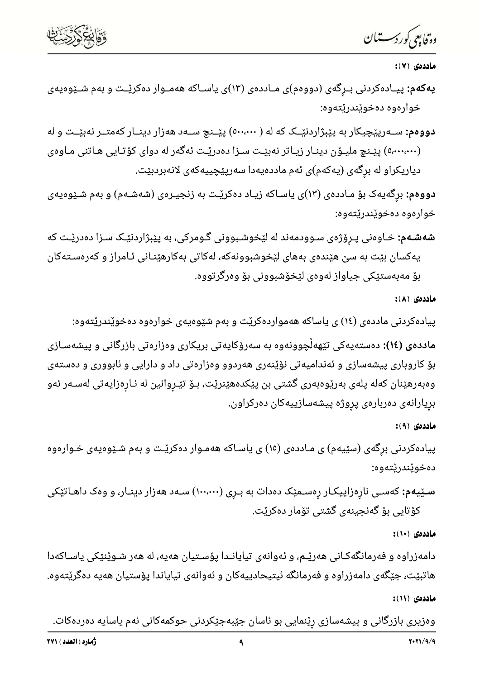

—

ماددەي ( ۷ ):

**رترایمی** *گرر دست***ان**<br>**یه کهم: پی**ـادهکردنی بــرگهی (دووهم)ی مــاددهی (۳)ی یاســاکه ههمــوار دهکریــت و بهم شــیّوهیهی<br>خوارهوه دهخویّندریّتهوه:<br>دووهم: ســهریپَچیکار به پیبرُاردنیــکــ که له ( ۵۰۰،۰۰۰) پیــنـج ســهد ههزار **ماددو** ۱۷:۶<br>**یهکمم:** پیادهکردنی بـرگهی (دوودم)ی مـاددهی (۱۲)ی یاسـاکه ههمـوار دهکریّـت و بهم شـیّودیهی<br>خواردوه دهخویْندریّته وه:<br>دوباره به دوپیْجِیکار به پیْبرّاردنیّـک که له ( ۱۰۰،۰۰۰ پیّـنـج سـهد ههزار دینـار کهمتـر نه

خواردوه دهخوپندریتهوه:<br>**شدشـه ب**: خـاوهنی پـرِوْرّهى سـوودمهند له لیّخوشـبوونى گـومركى، به پیْبِرَّاردنیّـک سـزا دهدریّـت كه<br>یه کمدین به: تو به سن هیندهى به هاى لیّخوشبوونهکه، له کاتی به کارهیّنـانی نامراز و کهرهسته کان<br>م **مادددی (١٤):** دهستهیهکی تنههآچوونهوه به مسرؤکایه تی بریکاری وهزاره تی بازرگانی و پیشهسـازی<br>بؤ کاروباری پیشهسازی و نهندامیه تی نؤیّنه ری همردوو ودزاره تی داد و دارایی و نابووری و دهستهی<br>وهبهرهنیان که له پلهی به ریوهبهری گ

پیادهکردنی برشی (سیّیهم) ی مادددی (۱) ی یاساحه ههموار دهکریت و بهم شیّوهیهی خـواردوه<br>سـێیـهم: کهسـی نارِهزاییکـار رِهسـمیّک دهدات به بـرِی (۱۰۰،۰۰۰) سـهد ههزار دینـار، و وهک داهـاتیّـکی<br>ماددوی (۱۰):<br>ماددوی (۱۰):<br>هاددوی (۱ دودی (۱۰):<br>ماددوی (۱۰):<br>دامهزراوه و فهرمانگهکـانی ههریّـم، و نُهوانهی تیایانـدا پوّسـتیان ههیه، له ههر شـویّنیّکی یاسـاکهدا<br>هاتبیّـت، جیّـگهی دامهزراوه و فهرمانگه نیتیحادییهکـان و نُهوانهی تیایاندا پوّستیان ههیه دهگریّتهو